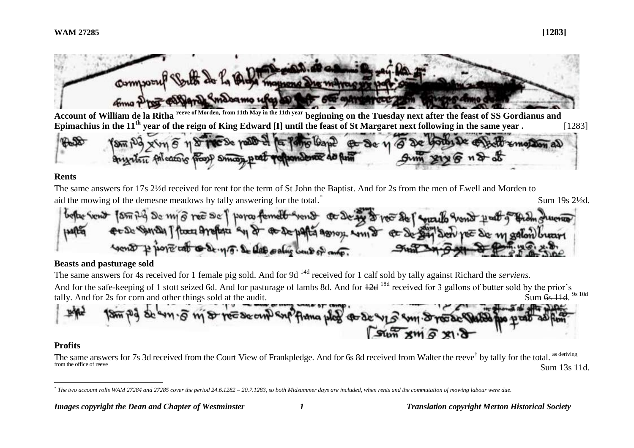

**Account of William de la Ritha reeve of Morden, from 11th May in the 11th year beginning on the Tuesday next after the feast of SS Gordianus and Epimachius in the 11th year of the reign of King Edward [I] until the feast of St Margaret next following in the same year .** [1283]

 $\approx 10a$ 

#### **Rents**

The same answers for 17s 2½d received for rent for the term of St John the Baptist. And for 2s from the men of Ewell and Morden to aid the mowing of the demesne meadows by tally answering for the total.<sup>\*</sup> Sum 19s 2½d.

So my ore So I porce famell went to De by a roo So I was Comes rough Esplet St et de 24 Sen not de madon sont property of the sense of the same was of an

## **Beasts and pasturage sold**

The same answers for 4s received for 1 female pig sold. And for 9d <sup>14d</sup> received for 1 calf sold by tally against Richard the *serviens*. And for the safe-keeping of 1 stott seized 6d. And for pasturage of lambs 8d. And for  $\frac{12d}{18d}$  received for 3 gallons of butter sold by the prior's tally. And for 2s for corn and other things sold at the audit. Sum 6s 11d. 9s 10d



## **Profits**

The same answers for 7s 3d received from the Court View of Frankpledge. And for 6s 8d received from Walter the reeve<sup>†</sup> by tally for the total. <sup>as deriving</sup> from the office of reeve Sum 13s 11d.

 $\overline{a}$ *\* The two account rolls WAM 27284 and 27285 cover the period 24.6.1282 – 20.7.1283, so both Midsummer days are included, when rents and the commutation of mowing labour were due.*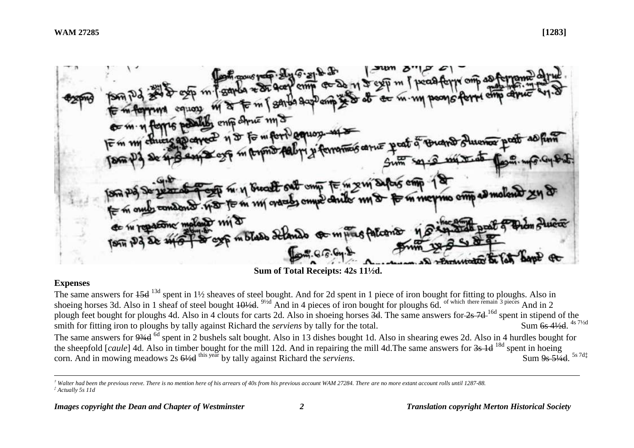mp ome *State St* 

**Sum of Total Receipts: 42s 11½d.**

### **Expenses**

The same answers for  $15d^{13d}$  spent in  $1\frac{1}{2}$  sheaves of steel bought. And for 2d spent in 1 piece of iron bought for fitting to ploughs. Also in shoeing horses 3d. Also in 1 sheaf of steel bought  $40/2d$ .  $9/2d$  And in 4 pieces of iron bought for ploughs 6d. <sup>of which there remain 3 pieces</sup> And in 2 plough feet bought for ploughs 4d. Also in 4 clouts for carts 2d. Also in shoeing horses  $3d$ . The same answers for  $2s$  7d<sup>-16d</sup> spent in stipend of the smith for fitting iron to ploughs by tally against Richard the *serviens* by tally for the total. Sum 6s 4½d. 4s 7½d The same answers for 9<sup>3/4d</sup> spent in 2 bushels salt bought. Also in 13 dishes bought 1d. Also in shearing ewes 2d. Also in 4 hurdles bought for the sheepfold [*caule*] 4d. Also in timber bought for the mill 12d. And in repairing the mill 4d.The same answers for 3s 1d 18d spent in hoeing corn. And in mowing meadows 2s  $6\frac{1}{2}$ <sup>this year</sup> by tally against Richard the *serviens*. Sum 9s 51/4d. 5s 7d‡

 $\overline{a}$ *† Walter had been the previous reeve. There is no mention here of his arrears of 40s from his previous account WAM 27284. There are no more extant account rolls until 1287-88. ‡ Actually 5s 11d*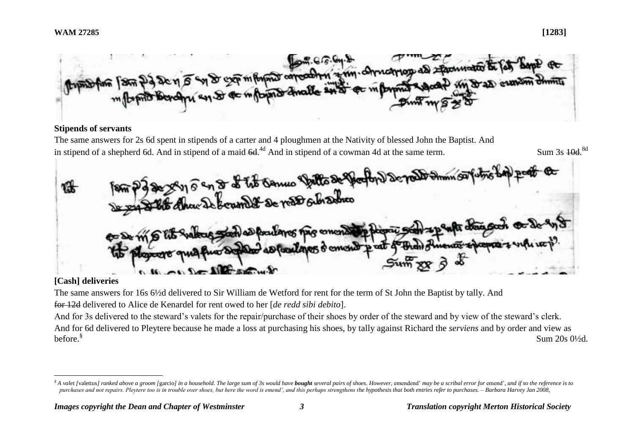

### **Stipends of servants**

The same answers for 2s 6d spent in stipends of a carter and 4 ploughmen at the Nativity of blessed John the Baptist. And in stipend of a shepherd 6d. And in stipend of a maid  $6d$ .<sup>4d</sup> And in stipend of a cowman 4d at the same term. Sum 3s 40d.





# **[Cash] deliveries**

 $\overline{a}$ 

The same answers for 16s 6½d delivered to Sir William de Wetford for rent for the term of St John the Baptist by tally. And

for 12d delivered to Alice de Kenardel for rent owed to her [*de redd sibi debito*].

And for 3s delivered to the steward's valets for the repair/purchase of their shoes by order of the steward and by view of the steward's clerk. And for 6d delivered to Pleytere because he made a loss at purchasing his shoes, by tally against Richard the *serviens* and by order and view as before.§ Sum 20s 0½d.

<sup>&</sup>lt;sup>§</sup> A valet [valettus] ranked above a groom [garcio] in a household. The large sum of 3s would have **bought** several pairs of shoes. However, emendend' may be a scribal error for emend', and if so the reference is to *purchases and not repairs. Pleytere too is in trouble over shoes, but here the word is emend', and this perhaps strengthens the hypothesis that both entries refer to purchases. – Barbara Harvey Jan 2008,*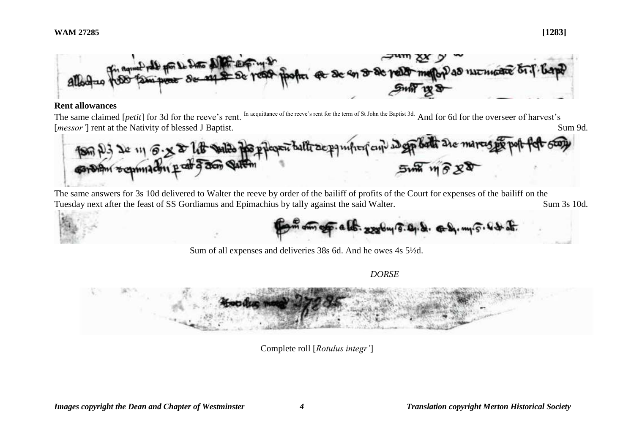

#### **Rent allowances**

The same claimed [*petit*] for 3d for the reeve's rent. In acquittance of the reeve's rent for the term of St John the Baptist 3d. And for 6d for the overseer of harvest's [*messor'*] rent at the Nativity of blessed J Baptist. Sum 9d.



The same answers for 3s 10d delivered to Walter the reeve by order of the bailiff of profits of the Court for expenses of the bailiff on the Tuesday next after the feast of SS Gordiamus and Epimachius by tally against the said Walter. Sum 3s 10d.

mog . a los. 22 by 5.0, d. c b, m. 5

Sum of all expenses and deliveries 38s 6d. And he owes 4s 5½d.

*DORSE*



Complete roll [*Rotulus integr'*]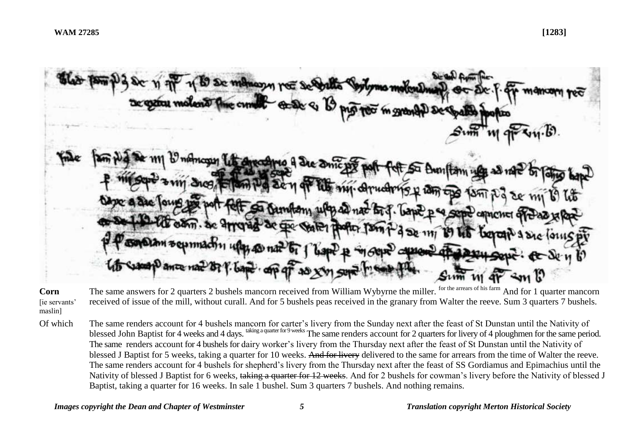

**Corn** [ie servants' maslin] The same answers for 2 quarters 2 bushels mancorn received from William Wybyrne the miller. <sup>for the arrears of his farm</sup> And for 1 quarter mancorn received of issue of the mill, without curall. And for 5 bushels peas received in the granary from Walter the reeve. Sum 3 quarters 7 bushels.

Of which The same renders account for 4 bushels mancorn for carter's livery from the Sunday next after the feast of St Dunstan until the Nativity of blessed John Baptist for 4 weeks and 4 days. taking a quarter for 9 weeks The same renders account for 2 quarters for livery of 4 ploughmen for the same period. The same renders account for 4 bushels for dairy worker's livery from the Thursday next after the feast of St Dunstan until the Nativity of blessed J Baptist for 5 weeks, taking a quarter for 10 weeks. And for livery delivered to the same for arrears from the time of Walter the reeve. The same renders account for 4 bushels for shepherd's livery from the Thursday next after the feast of SS Gordiamus and Epimachius until the Nativity of blessed J Baptist for 6 weeks, taking a quarter for 12 weeks. And for 2 bushels for cowman's livery before the Nativity of blessed J Baptist, taking a quarter for 16 weeks. In sale 1 bushel. Sum 3 quarters 7 bushels. And nothing remains.